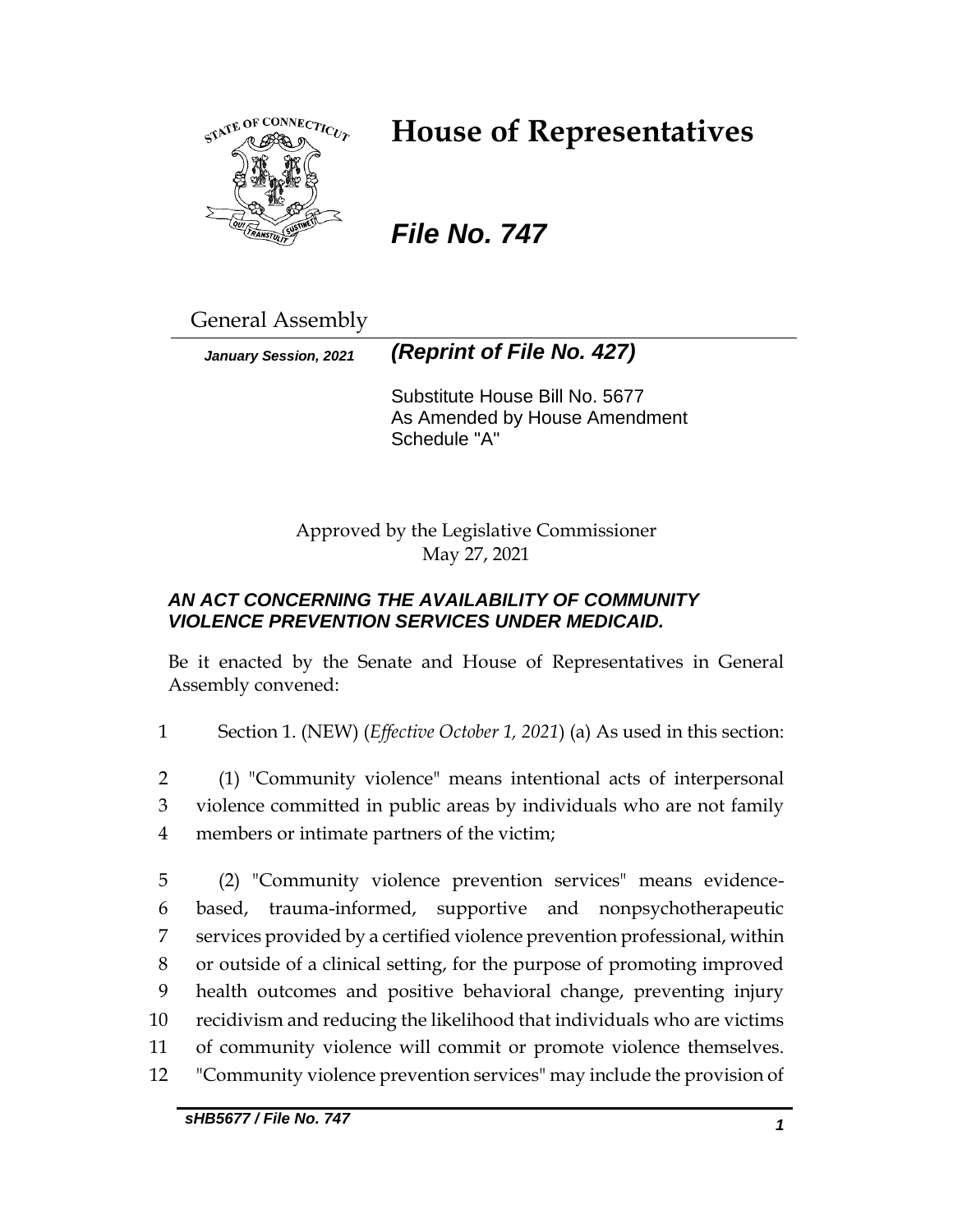

# **House of Representatives**

## *File No. 747*

General Assembly

*January Session, 2021 (Reprint of File No. 427)*

Substitute House Bill No. 5677 As Amended by House Amendment Schedule "A"

Approved by the Legislative Commissioner May 27, 2021

## *AN ACT CONCERNING THE AVAILABILITY OF COMMUNITY VIOLENCE PREVENTION SERVICES UNDER MEDICAID.*

Be it enacted by the Senate and House of Representatives in General Assembly convened:

1 Section 1. (NEW) (*Effective October 1, 2021*) (a) As used in this section:

2 (1) "Community violence" means intentional acts of interpersonal 3 violence committed in public areas by individuals who are not family 4 members or intimate partners of the victim;

 (2) "Community violence prevention services" means evidence- based, trauma-informed, supportive and nonpsychotherapeutic services provided by a certified violence prevention professional, within or outside of a clinical setting, for the purpose of promoting improved health outcomes and positive behavioral change, preventing injury recidivism and reducing the likelihood that individuals who are victims of community violence will commit or promote violence themselves. "Community violence prevention services" may include the provision of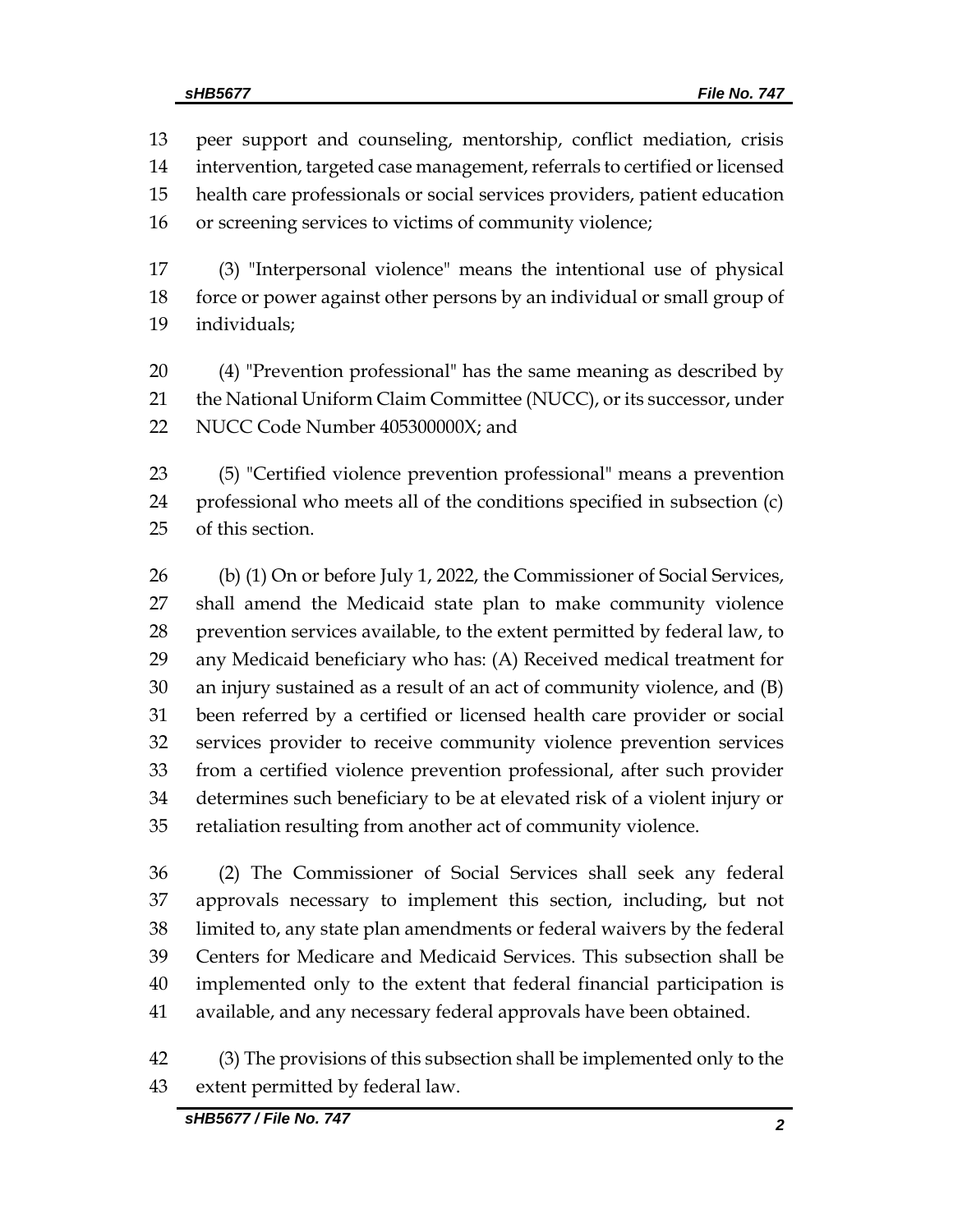peer support and counseling, mentorship, conflict mediation, crisis intervention, targeted case management, referrals to certified or licensed health care professionals or social services providers, patient education or screening services to victims of community violence;

 (3) "Interpersonal violence" means the intentional use of physical force or power against other persons by an individual or small group of individuals;

 (4) "Prevention professional" has the same meaning as described by the National Uniform Claim Committee (NUCC), or its successor, under NUCC Code Number 405300000X; and

 (5) "Certified violence prevention professional" means a prevention professional who meets all of the conditions specified in subsection (c) of this section.

 (b) (1) On or before July 1, 2022, the Commissioner of Social Services, shall amend the Medicaid state plan to make community violence prevention services available, to the extent permitted by federal law, to any Medicaid beneficiary who has: (A) Received medical treatment for an injury sustained as a result of an act of community violence, and (B) been referred by a certified or licensed health care provider or social services provider to receive community violence prevention services from a certified violence prevention professional, after such provider determines such beneficiary to be at elevated risk of a violent injury or retaliation resulting from another act of community violence.

 (2) The Commissioner of Social Services shall seek any federal approvals necessary to implement this section, including, but not limited to, any state plan amendments or federal waivers by the federal Centers for Medicare and Medicaid Services. This subsection shall be implemented only to the extent that federal financial participation is available, and any necessary federal approvals have been obtained.

 (3) The provisions of this subsection shall be implemented only to the extent permitted by federal law.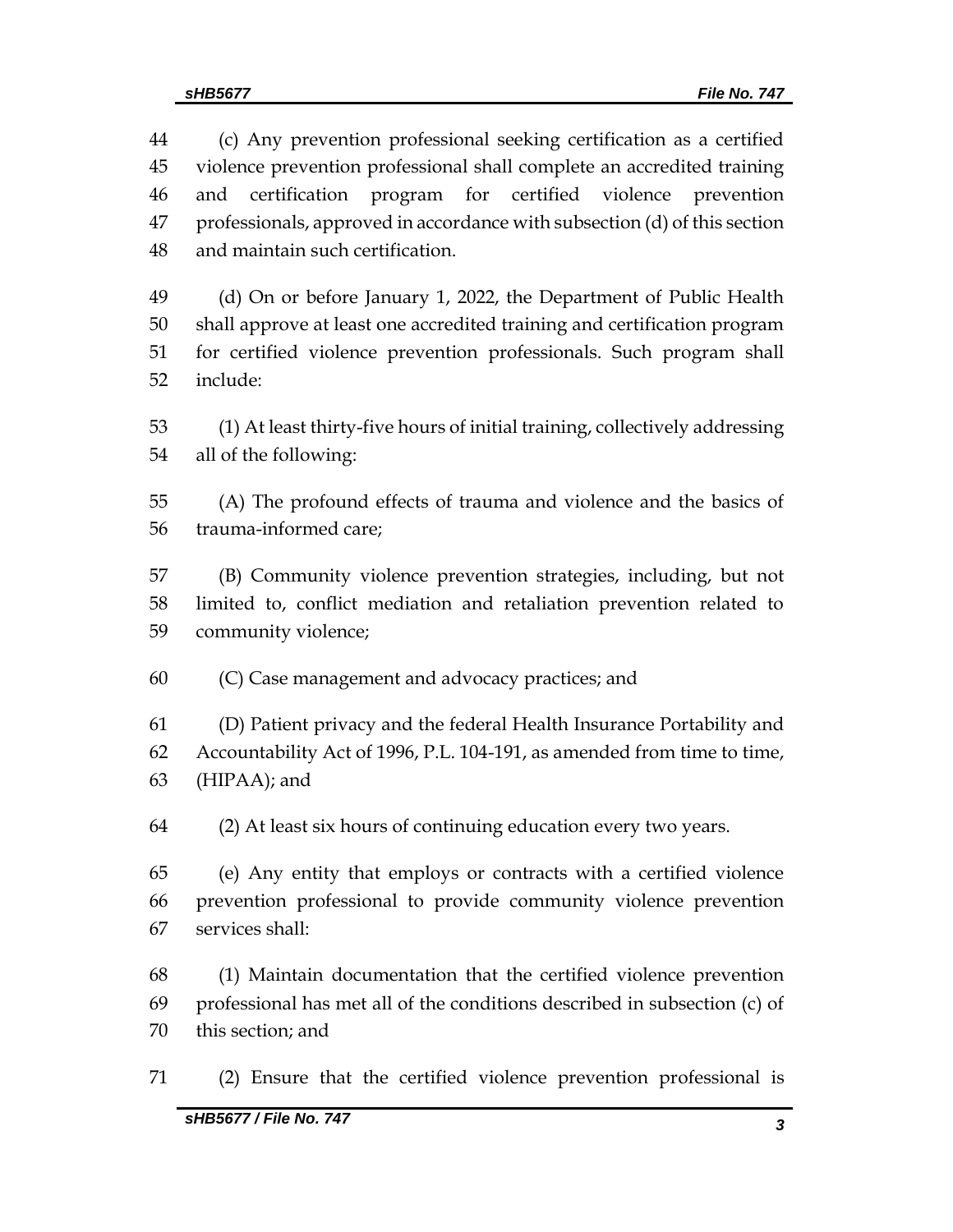(c) Any prevention professional seeking certification as a certified violence prevention professional shall complete an accredited training and certification program for certified violence prevention professionals, approved in accordance with subsection (d) of this section and maintain such certification.

 (d) On or before January 1, 2022, the Department of Public Health shall approve at least one accredited training and certification program for certified violence prevention professionals. Such program shall include:

 (1) At least thirty-five hours of initial training, collectively addressing all of the following:

 (A) The profound effects of trauma and violence and the basics of trauma-informed care;

 (B) Community violence prevention strategies, including, but not limited to, conflict mediation and retaliation prevention related to community violence;

(C) Case management and advocacy practices; and

 (D) Patient privacy and the federal Health Insurance Portability and Accountability Act of 1996, P.L. 104-191, as amended from time to time, (HIPAA); and

(2) At least six hours of continuing education every two years.

 (e) Any entity that employs or contracts with a certified violence prevention professional to provide community violence prevention services shall:

 (1) Maintain documentation that the certified violence prevention professional has met all of the conditions described in subsection (c) of this section; and

(2) Ensure that the certified violence prevention professional is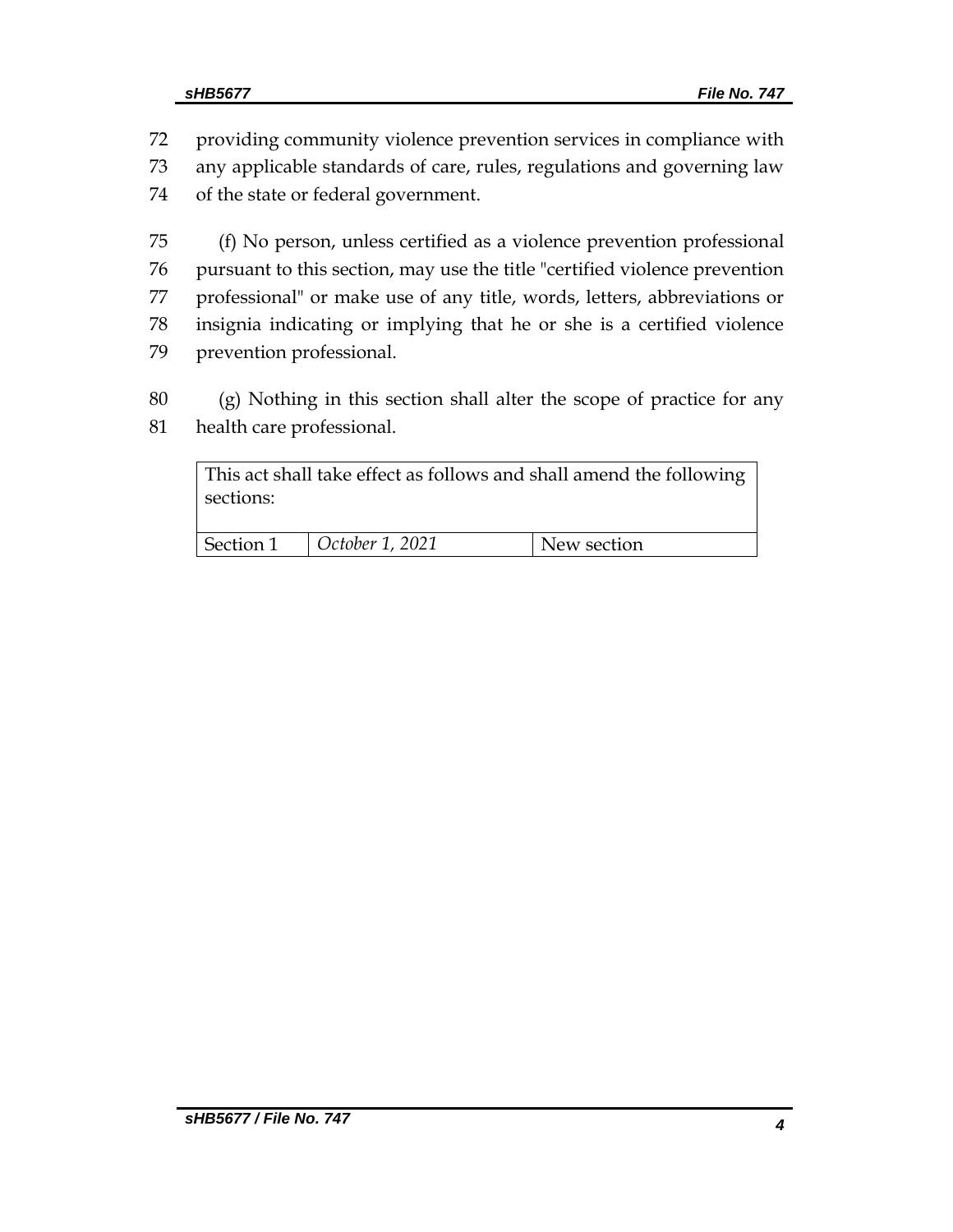providing community violence prevention services in compliance with any applicable standards of care, rules, regulations and governing law of the state or federal government.

 (f) No person, unless certified as a violence prevention professional pursuant to this section, may use the title "certified violence prevention professional" or make use of any title, words, letters, abbreviations or insignia indicating or implying that he or she is a certified violence prevention professional.

 (g) Nothing in this section shall alter the scope of practice for any health care professional.

| sections: |                 | This act shall take effect as follows and shall amend the following |
|-----------|-----------------|---------------------------------------------------------------------|
| Section 1 | October 1, 2021 | New section                                                         |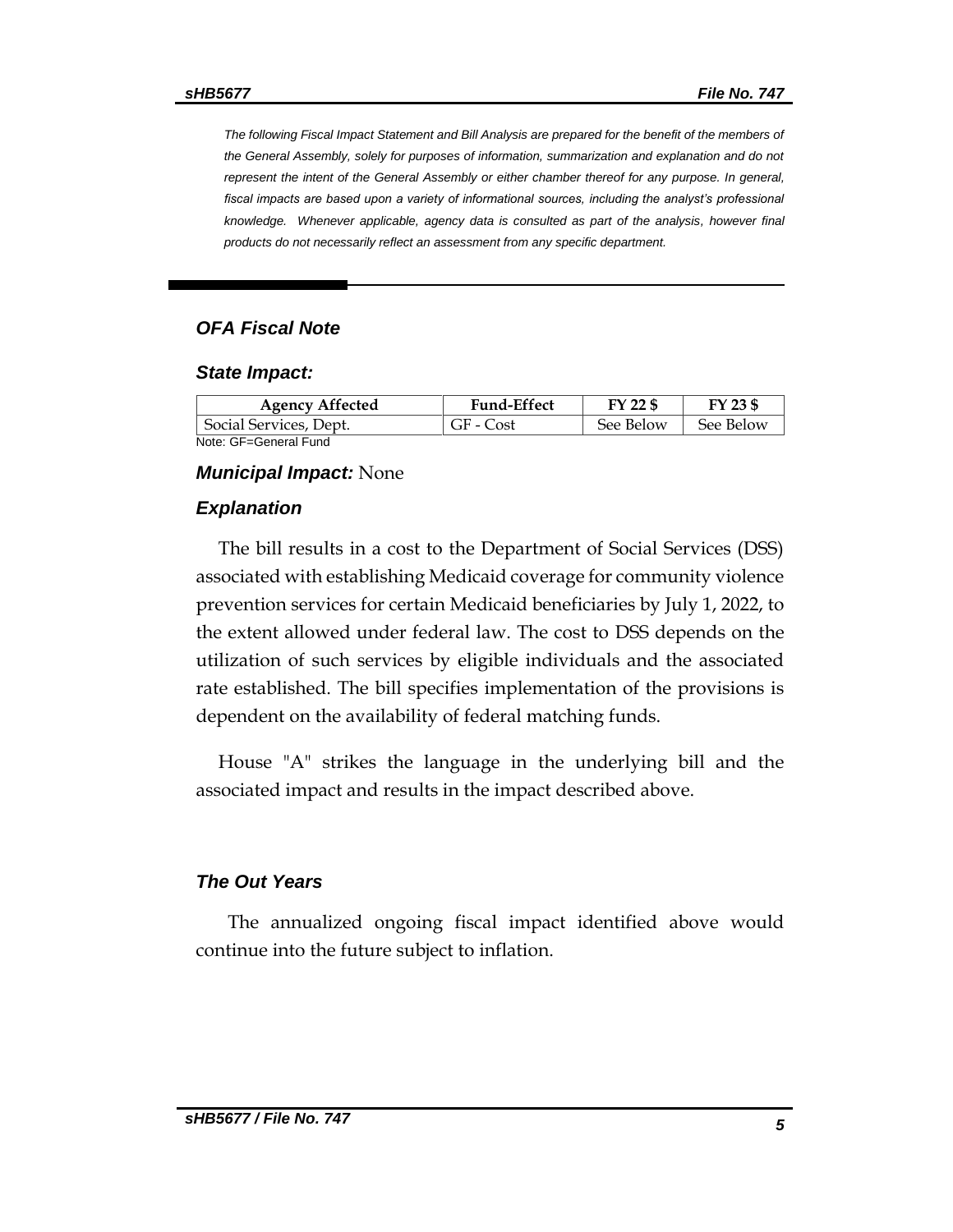*The following Fiscal Impact Statement and Bill Analysis are prepared for the benefit of the members of the General Assembly, solely for purposes of information, summarization and explanation and do not represent the intent of the General Assembly or either chamber thereof for any purpose. In general, fiscal impacts are based upon a variety of informational sources, including the analyst's professional knowledge. Whenever applicable, agency data is consulted as part of the analysis, however final products do not necessarily reflect an assessment from any specific department.*

#### *OFA Fiscal Note*

#### *State Impact:*

| <b>Agency Affected</b> | <b>Fund-Effect</b> | FY 22 \$  | FY 23 \$  |
|------------------------|--------------------|-----------|-----------|
| Social Services, Dept. | GF - Cost          | See Below | See Below |
| Note: GF=General Fund  |                    |           |           |

#### *Municipal Impact:* None

#### *Explanation*

The bill results in a cost to the Department of Social Services (DSS) associated with establishing Medicaid coverage for community violence prevention services for certain Medicaid beneficiaries by July 1, 2022, to the extent allowed under federal law. The cost to DSS depends on the utilization of such services by eligible individuals and the associated rate established. The bill specifies implementation of the provisions is dependent on the availability of federal matching funds.

House "A" strikes the language in the underlying bill and the associated impact and results in the impact described above.

#### *The Out Years*

 The annualized ongoing fiscal impact identified above would continue into the future subject to inflation.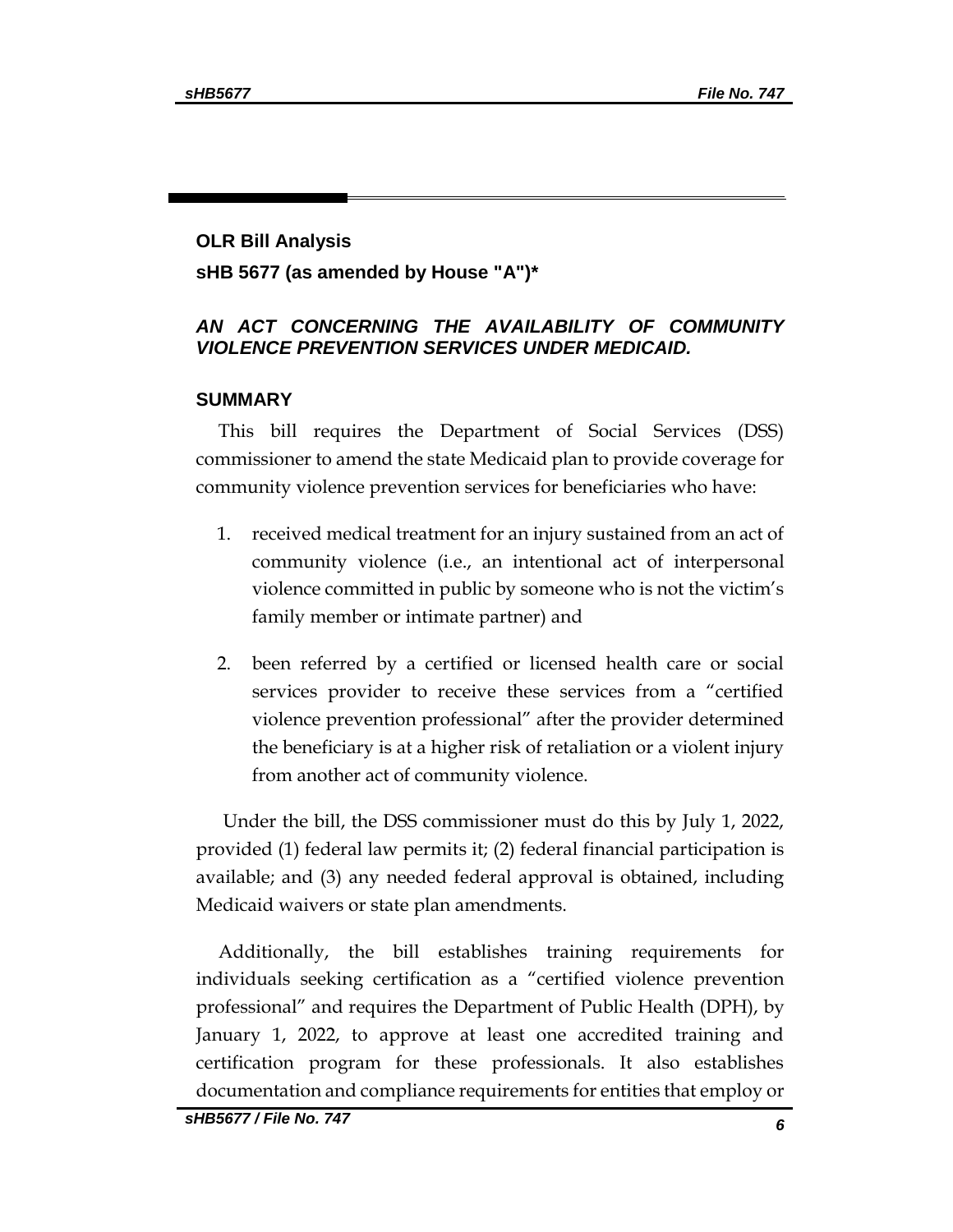## **OLR Bill Analysis sHB 5677 (as amended by House "A")\***

### *AN ACT CONCERNING THE AVAILABILITY OF COMMUNITY VIOLENCE PREVENTION SERVICES UNDER MEDICAID.*

#### **SUMMARY**

This bill requires the Department of Social Services (DSS) commissioner to amend the state Medicaid plan to provide coverage for community violence prevention services for beneficiaries who have:

- 1. received medical treatment for an injury sustained from an act of community violence (i.e., an intentional act of interpersonal violence committed in public by someone who is not the victim's family member or intimate partner) and
- 2. been referred by a certified or licensed health care or social services provider to receive these services from a "certified violence prevention professional" after the provider determined the beneficiary is at a higher risk of retaliation or a violent injury from another act of community violence.

Under the bill, the DSS commissioner must do this by July 1, 2022, provided (1) federal law permits it; (2) federal financial participation is available; and (3) any needed federal approval is obtained, including Medicaid waivers or state plan amendments.

Additionally, the bill establishes training requirements for individuals seeking certification as a "certified violence prevention professional" and requires the Department of Public Health (DPH), by January 1, 2022, to approve at least one accredited training and certification program for these professionals. It also establishes documentation and compliance requirements for entities that employ or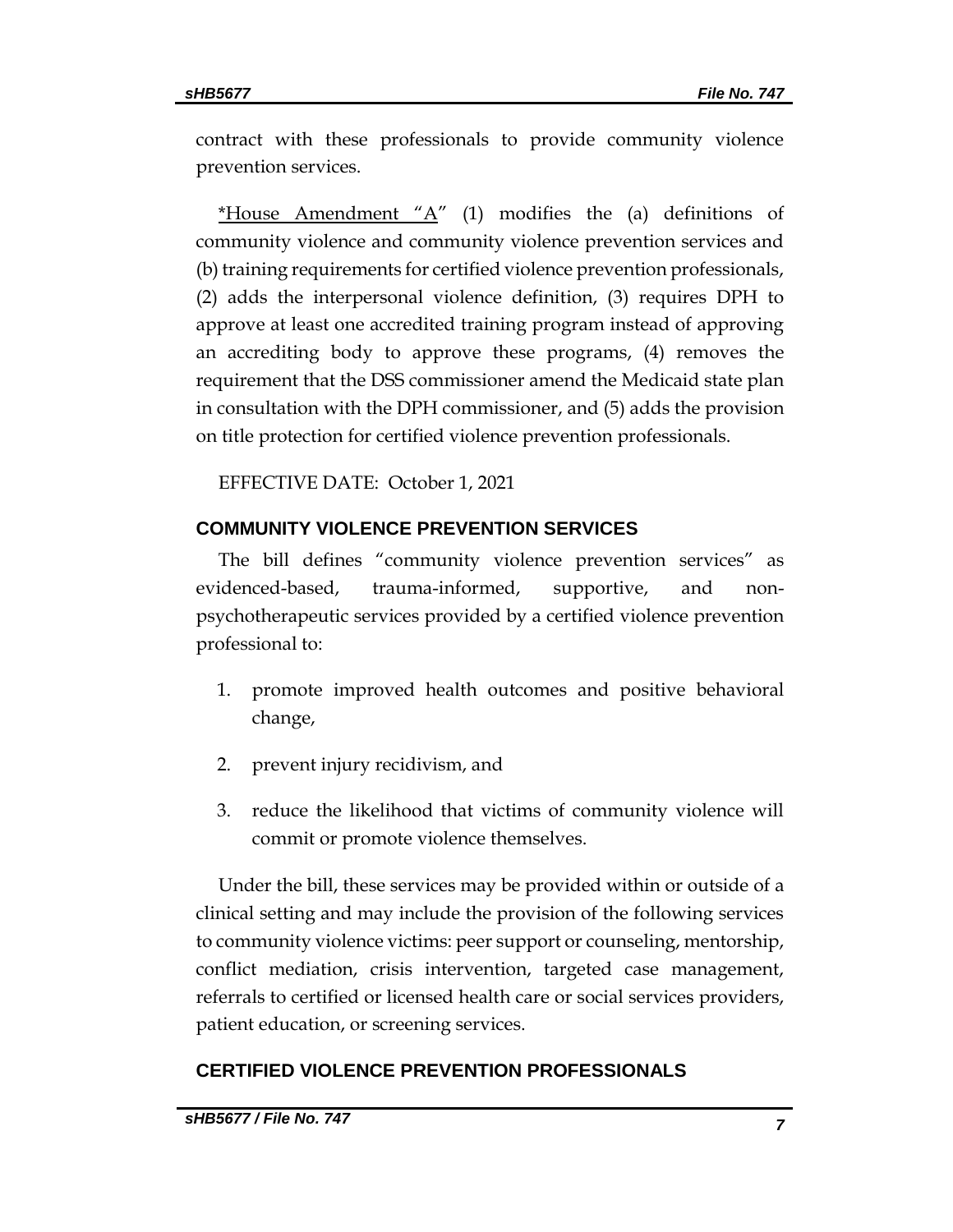contract with these professionals to provide community violence prevention services.

\*House Amendment " $A$ " (1) modifies the (a) definitions of community violence and community violence prevention services and (b) training requirements for certified violence prevention professionals, (2) adds the interpersonal violence definition, (3) requires DPH to approve at least one accredited training program instead of approving an accrediting body to approve these programs, (4) removes the requirement that the DSS commissioner amend the Medicaid state plan in consultation with the DPH commissioner, and (5) adds the provision on title protection for certified violence prevention professionals.

EFFECTIVE DATE: October 1, 2021

#### **COMMUNITY VIOLENCE PREVENTION SERVICES**

The bill defines "community violence prevention services" as evidenced-based, trauma-informed, supportive, and nonpsychotherapeutic services provided by a certified violence prevention professional to:

- 1. promote improved health outcomes and positive behavioral change,
- 2. prevent injury recidivism, and
- 3. reduce the likelihood that victims of community violence will commit or promote violence themselves.

Under the bill, these services may be provided within or outside of a clinical setting and may include the provision of the following services to community violence victims: peer support or counseling, mentorship, conflict mediation, crisis intervention, targeted case management, referrals to certified or licensed health care or social services providers, patient education, or screening services.

#### **CERTIFIED VIOLENCE PREVENTION PROFESSIONALS**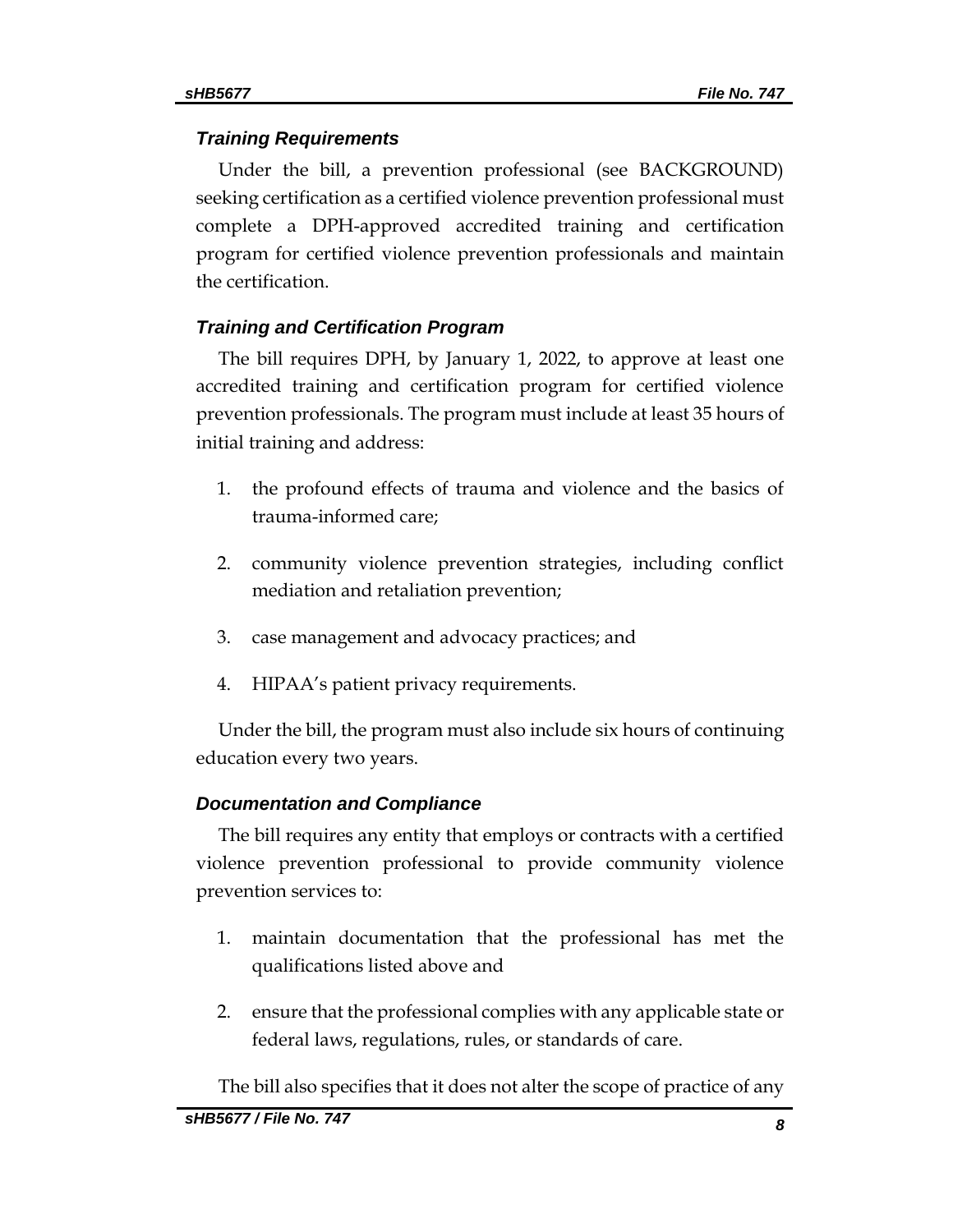#### *Training Requirements*

Under the bill, a prevention professional (see BACKGROUND) seeking certification as a certified violence prevention professional must complete a DPH-approved accredited training and certification program for certified violence prevention professionals and maintain the certification.

## *Training and Certification Program*

The bill requires DPH, by January 1, 2022, to approve at least one accredited training and certification program for certified violence prevention professionals. The program must include at least 35 hours of initial training and address:

- 1. the profound effects of trauma and violence and the basics of trauma-informed care;
- 2. community violence prevention strategies, including conflict mediation and retaliation prevention;
- 3. case management and advocacy practices; and
- 4. HIPAA's patient privacy requirements.

Under the bill, the program must also include six hours of continuing education every two years.

#### *Documentation and Compliance*

The bill requires any entity that employs or contracts with a certified violence prevention professional to provide community violence prevention services to:

- 1. maintain documentation that the professional has met the qualifications listed above and
- 2. ensure that the professional complies with any applicable state or federal laws, regulations, rules, or standards of care.

The bill also specifies that it does not alter the scope of practice of any